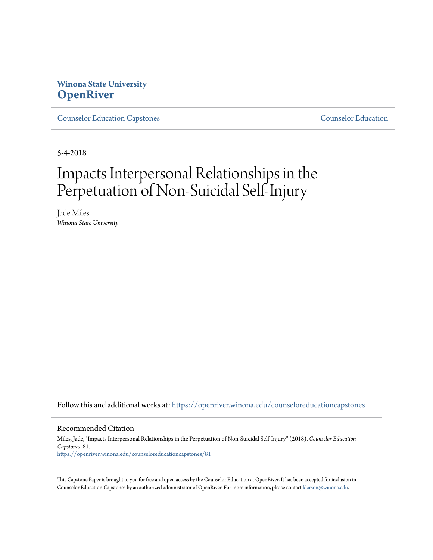# **Winona State University [OpenRiver](https://openriver.winona.edu?utm_source=openriver.winona.edu%2Fcounseloreducationcapstones%2F81&utm_medium=PDF&utm_campaign=PDFCoverPages)**

[Counselor Education Capstones](https://openriver.winona.edu/counseloreducationcapstones?utm_source=openriver.winona.edu%2Fcounseloreducationcapstones%2F81&utm_medium=PDF&utm_campaign=PDFCoverPages) [Counselor Education](https://openriver.winona.edu/counseloreducation?utm_source=openriver.winona.edu%2Fcounseloreducationcapstones%2F81&utm_medium=PDF&utm_campaign=PDFCoverPages)

5-4-2018

# Impacts Interpersonal Relationships in the Perpetuation of Non-Suicidal Self-Injury

Jade Miles *Winona State University*

Follow this and additional works at: [https://openriver.winona.edu/counseloreducationcapstones](https://openriver.winona.edu/counseloreducationcapstones?utm_source=openriver.winona.edu%2Fcounseloreducationcapstones%2F81&utm_medium=PDF&utm_campaign=PDFCoverPages)

#### Recommended Citation

Miles, Jade, "Impacts Interpersonal Relationships in the Perpetuation of Non-Suicidal Self-Injury" (2018). *Counselor Education Capstones*. 81. [https://openriver.winona.edu/counseloreducationcapstones/81](https://openriver.winona.edu/counseloreducationcapstones/81?utm_source=openriver.winona.edu%2Fcounseloreducationcapstones%2F81&utm_medium=PDF&utm_campaign=PDFCoverPages)

This Capstone Paper is brought to you for free and open access by the Counselor Education at OpenRiver. It has been accepted for inclusion in Counselor Education Capstones by an authorized administrator of OpenRiver. For more information, please contact [klarson@winona.edu](mailto:klarson@winona.edu).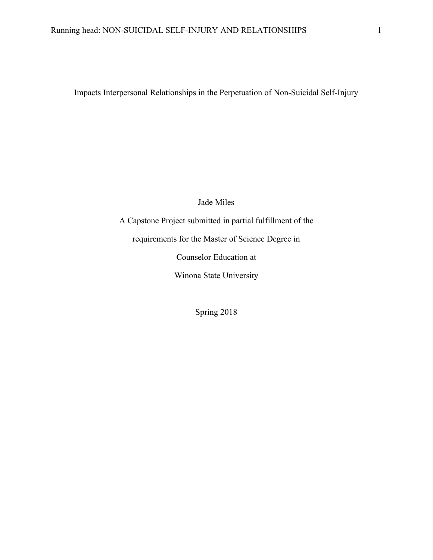Impacts Interpersonal Relationships in the Perpetuation of Non-Suicidal Self-Injury

Jade Miles

A Capstone Project submitted in partial fulfillment of the requirements for the Master of Science Degree in Counselor Education at Winona State University

Spring 2018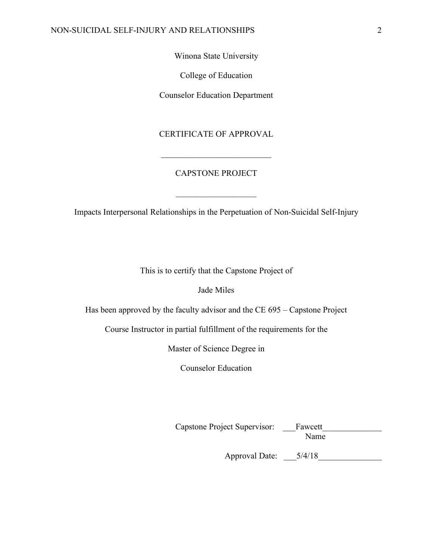Winona State University

College of Education

Counselor Education Department

### CERTIFICATE OF APPROVAL

### CAPSTONE PROJECT

 $\overline{\phantom{a}}$  , where  $\overline{\phantom{a}}$ 

\_\_\_\_\_\_\_\_\_\_\_\_\_\_\_\_\_\_\_\_\_\_\_\_\_\_

Impacts Interpersonal Relationships in the Perpetuation of Non-Suicidal Self-Injury

This is to certify that the Capstone Project of

Jade Miles

Has been approved by the faculty advisor and the CE 695 – Capstone Project

Course Instructor in partial fulfillment of the requirements for the

Master of Science Degree in

Counselor Education

Capstone Project Supervisor: \_\_\_Fawcett\_\_\_\_\_\_\_\_\_\_\_\_\_\_ Name

Approval Date: \_\_\_5/4/18\_\_\_\_\_\_\_\_\_\_\_\_\_\_\_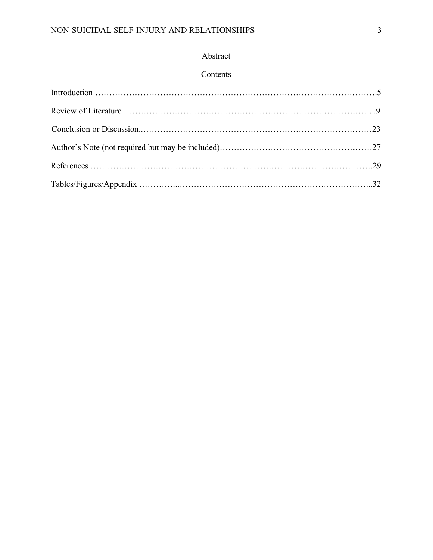# Abstract

### Contents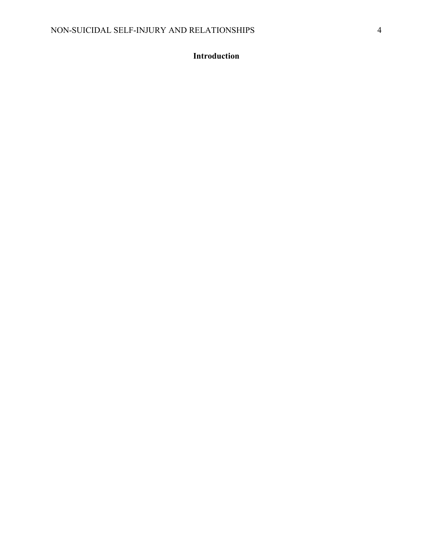# **Introduction**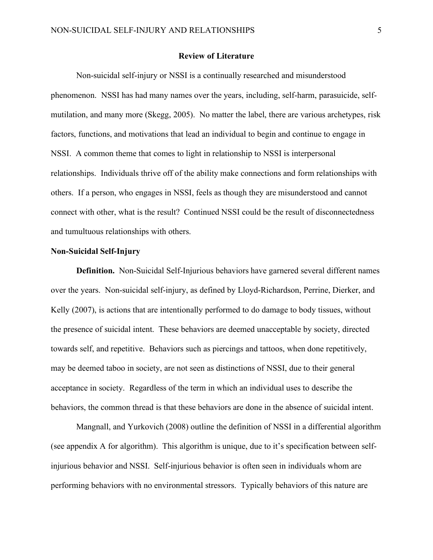### **Review of Literature**

Non-suicidal self-injury or NSSI is a continually researched and misunderstood phenomenon. NSSI has had many names over the years, including, self-harm, parasuicide, selfmutilation, and many more (Skegg, 2005). No matter the label, there are various archetypes, risk factors, functions, and motivations that lead an individual to begin and continue to engage in NSSI. A common theme that comes to light in relationship to NSSI is interpersonal relationships. Individuals thrive off of the ability make connections and form relationships with others. If a person, who engages in NSSI, feels as though they are misunderstood and cannot connect with other, what is the result? Continued NSSI could be the result of disconnectedness and tumultuous relationships with others.

### **Non-Suicidal Self-Injury**

**Definition.** Non-Suicidal Self-Injurious behaviors have garnered several different names over the years. Non-suicidal self-injury, as defined by Lloyd-Richardson, Perrine, Dierker, and Kelly (2007), is actions that are intentionally performed to do damage to body tissues, without the presence of suicidal intent. These behaviors are deemed unacceptable by society, directed towards self, and repetitive. Behaviors such as piercings and tattoos, when done repetitively, may be deemed taboo in society, are not seen as distinctions of NSSI, due to their general acceptance in society. Regardless of the term in which an individual uses to describe the behaviors, the common thread is that these behaviors are done in the absence of suicidal intent.

Mangnall, and Yurkovich (2008) outline the definition of NSSI in a differential algorithm (see appendix A for algorithm). This algorithm is unique, due to it's specification between selfinjurious behavior and NSSI. Self-injurious behavior is often seen in individuals whom are performing behaviors with no environmental stressors. Typically behaviors of this nature are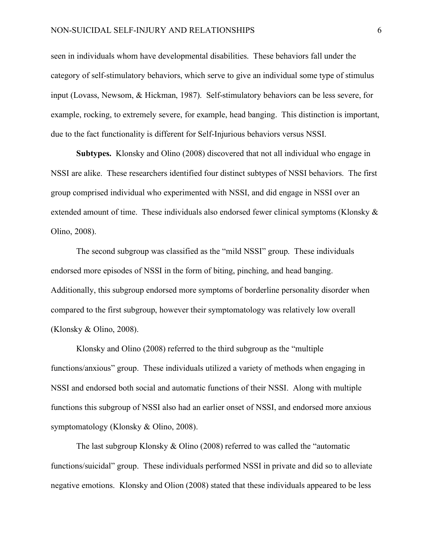seen in individuals whom have developmental disabilities. These behaviors fall under the category of self-stimulatory behaviors, which serve to give an individual some type of stimulus input (Lovass, Newsom, & Hickman, 1987). Self-stimulatory behaviors can be less severe, for example, rocking, to extremely severe, for example, head banging. This distinction is important, due to the fact functionality is different for Self-Injurious behaviors versus NSSI.

**Subtypes.** Klonsky and Olino (2008) discovered that not all individual who engage in NSSI are alike. These researchers identified four distinct subtypes of NSSI behaviors. The first group comprised individual who experimented with NSSI, and did engage in NSSI over an extended amount of time. These individuals also endorsed fewer clinical symptoms (Klonsky & Olino, 2008).

The second subgroup was classified as the "mild NSSI" group. These individuals endorsed more episodes of NSSI in the form of biting, pinching, and head banging. Additionally, this subgroup endorsed more symptoms of borderline personality disorder when compared to the first subgroup, however their symptomatology was relatively low overall (Klonsky & Olino, 2008).

Klonsky and Olino (2008) referred to the third subgroup as the "multiple functions/anxious" group. These individuals utilized a variety of methods when engaging in NSSI and endorsed both social and automatic functions of their NSSI. Along with multiple functions this subgroup of NSSI also had an earlier onset of NSSI, and endorsed more anxious symptomatology (Klonsky & Olino, 2008).

The last subgroup Klonsky & Olino (2008) referred to was called the "automatic functions/suicidal" group. These individuals performed NSSI in private and did so to alleviate negative emotions. Klonsky and Olion (2008) stated that these individuals appeared to be less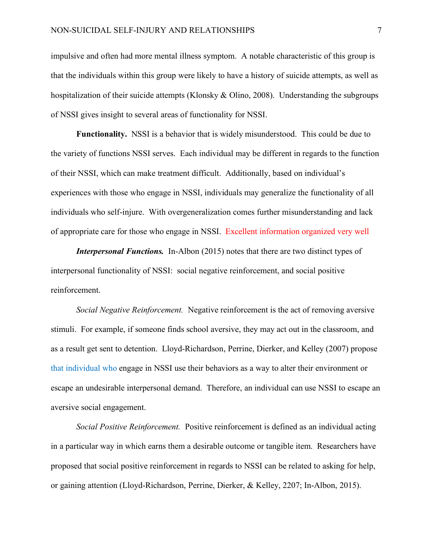impulsive and often had more mental illness symptom. A notable characteristic of this group is that the individuals within this group were likely to have a history of suicide attempts, as well as hospitalization of their suicide attempts (Klonsky & Olino, 2008). Understanding the subgroups of NSSI gives insight to several areas of functionality for NSSI.

**Functionality.** NSSI is a behavior that is widely misunderstood. This could be due to the variety of functions NSSI serves. Each individual may be different in regards to the function of their NSSI, which can make treatment difficult. Additionally, based on individual's experiences with those who engage in NSSI, individuals may generalize the functionality of all individuals who self-injure. With overgeneralization comes further misunderstanding and lack of appropriate care for those who engage in NSSI. Excellent information organized very well

*Interpersonal Functions.* In-Albon (2015) notes that there are two distinct types of interpersonal functionality of NSSI: social negative reinforcement, and social positive reinforcement.

*Social Negative Reinforcement.* Negative reinforcement is the act of removing aversive stimuli. For example, if someone finds school aversive, they may act out in the classroom, and as a result get sent to detention. Lloyd-Richardson, Perrine, Dierker, and Kelley (2007) propose that individual who engage in NSSI use their behaviors as a way to alter their environment or escape an undesirable interpersonal demand. Therefore, an individual can use NSSI to escape an aversive social engagement.

*Social Positive Reinforcement.* Positive reinforcement is defined as an individual acting in a particular way in which earns them a desirable outcome or tangible item. Researchers have proposed that social positive reinforcement in regards to NSSI can be related to asking for help, or gaining attention (Lloyd-Richardson, Perrine, Dierker, & Kelley, 2207; In-Albon, 2015).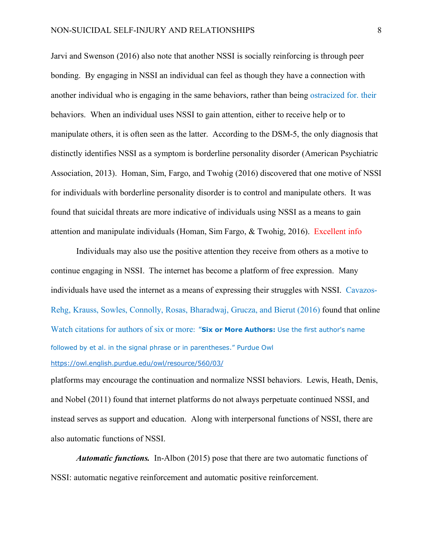Jarvi and Swenson (2016) also note that another NSSI is socially reinforcing is through peer bonding. By engaging in NSSI an individual can feel as though they have a connection with another individual who is engaging in the same behaviors, rather than being ostracized for. their behaviors. When an individual uses NSSI to gain attention, either to receive help or to manipulate others, it is often seen as the latter. According to the DSM-5, the only diagnosis that distinctly identifies NSSI as a symptom is borderline personality disorder (American Psychiatric Association, 2013). Homan, Sim, Fargo, and Twohig (2016) discovered that one motive of NSSI for individuals with borderline personality disorder is to control and manipulate others. It was found that suicidal threats are more indicative of individuals using NSSI as a means to gain attention and manipulate individuals (Homan, Sim Fargo, & Twohig, 2016). Excellent info

Individuals may also use the positive attention they receive from others as a motive to continue engaging in NSSI. The internet has become a platform of free expression. Many individuals have used the internet as a means of expressing their struggles with NSSI. Cavazos-Rehg, Krauss, Sowles, Connolly, Rosas, Bharadwaj, Grucza, and Bierut (2016) found that online Watch citations for authors of six or more: "**Six or More Authors:** Use the first author's name followed by et al. in the signal phrase or in parentheses." Purdue Owl https://owl.english.purdue.edu/owl/resource/560/03/

platforms may encourage the continuation and normalize NSSI behaviors. Lewis, Heath, Denis, and Nobel (2011) found that internet platforms do not always perpetuate continued NSSI, and instead serves as support and education. Along with interpersonal functions of NSSI, there are also automatic functions of NSSI.

*Automatic functions.* In-Albon (2015) pose that there are two automatic functions of NSSI: automatic negative reinforcement and automatic positive reinforcement.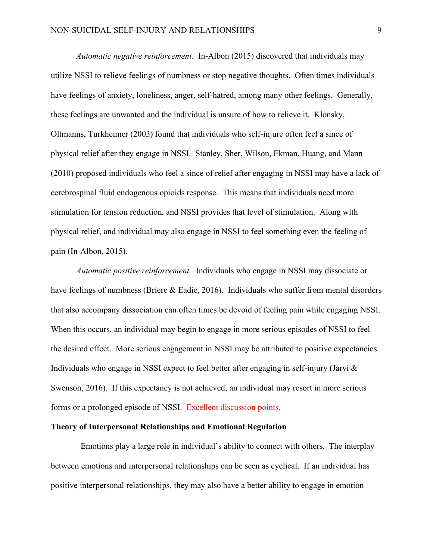*Automatic negative reinforcement.* In-Albon (2015) discovered that individuals may utilize NSSI to relieve feelings of numbness or stop negative thoughts. Often times individuals have feelings of anxiety, loneliness, anger, self-hatred, among many other feelings. Generally, these feelings are unwanted and the individual is unsure of how to relieve it. Klonsky, Oltmanns, Turkheimer (2003) found that individuals who self-injure often feel a since of physical relief after they engage in NSSI. Stanley, Sher, Wilson, Ekman, Huang, and Mann (2010) proposed individuals who feel a since of relief after engaging in NSSI may have a lack of cerebrospinal fluid endogenous opioids response. This means that individuals need more stimulation for tension reduction, and NSSI provides that level of stimulation. Along with physical relief, and individual may also engage in NSSI to feel something even the feeling of pain (In-Albon, 2015).

*Automatic positive reinforcement.* Individuals who engage in NSSI may dissociate or have feelings of numbness (Briere & Eadie, 2016). Individuals who suffer from mental disorders that also accompany dissociation can often times be devoid of feeling pain while engaging NSSI. When this occurs, an individual may begin to engage in more serious episodes of NSSI to feel the desired effect. More serious engagement in NSSI may be attributed to positive expectancies. Individuals who engage in NSSI expect to feel better after engaging in self-injury (Jarvi  $\&$ Swenson, 2016). If this expectancy is not achieved, an individual may resort in more serious forms or a prolonged episode of NSSI. Excellent discussion points.

#### **Theory of Interpersonal Relationships and Emotional Regulation**

 Emotions play a large role in individual's ability to connect with others. The interplay between emotions and interpersonal relationships can be seen as cyclical. If an individual has positive interpersonal relationships, they may also have a better ability to engage in emotion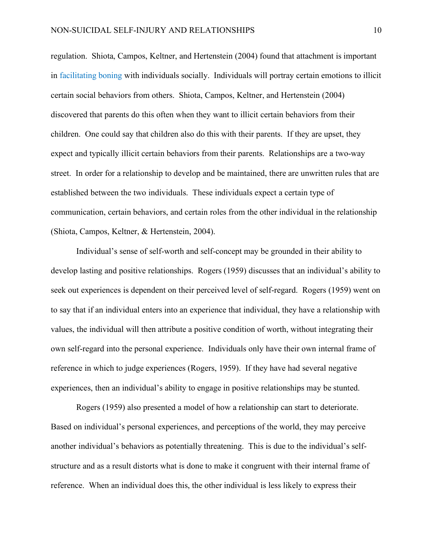regulation. Shiota, Campos, Keltner, and Hertenstein (2004) found that attachment is important in facilitating boning with individuals socially. Individuals will portray certain emotions to illicit certain social behaviors from others. Shiota, Campos, Keltner, and Hertenstein (2004) discovered that parents do this often when they want to illicit certain behaviors from their children. One could say that children also do this with their parents. If they are upset, they expect and typically illicit certain behaviors from their parents. Relationships are a two-way street. In order for a relationship to develop and be maintained, there are unwritten rules that are established between the two individuals. These individuals expect a certain type of communication, certain behaviors, and certain roles from the other individual in the relationship (Shiota, Campos, Keltner, & Hertenstein, 2004).

Individual's sense of self-worth and self-concept may be grounded in their ability to develop lasting and positive relationships. Rogers (1959) discusses that an individual's ability to seek out experiences is dependent on their perceived level of self-regard. Rogers (1959) went on to say that if an individual enters into an experience that individual, they have a relationship with values, the individual will then attribute a positive condition of worth, without integrating their own self-regard into the personal experience. Individuals only have their own internal frame of reference in which to judge experiences (Rogers, 1959). If they have had several negative experiences, then an individual's ability to engage in positive relationships may be stunted.

Rogers (1959) also presented a model of how a relationship can start to deteriorate. Based on individual's personal experiences, and perceptions of the world, they may perceive another individual's behaviors as potentially threatening. This is due to the individual's selfstructure and as a result distorts what is done to make it congruent with their internal frame of reference. When an individual does this, the other individual is less likely to express their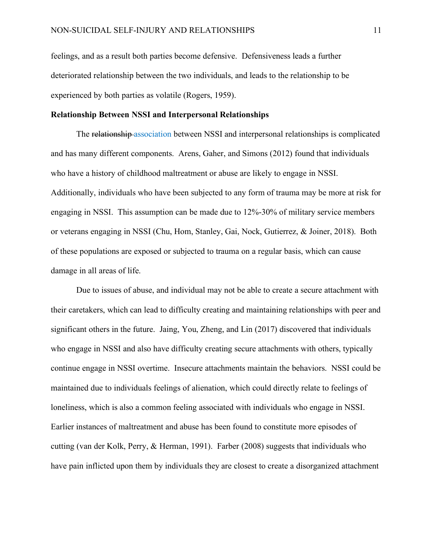feelings, and as a result both parties become defensive. Defensiveness leads a further deteriorated relationship between the two individuals, and leads to the relationship to be experienced by both parties as volatile (Rogers, 1959).

### **Relationship Between NSSI and Interpersonal Relationships**

The relationship association between NSSI and interpersonal relationships is complicated and has many different components. Arens, Gaher, and Simons (2012) found that individuals who have a history of childhood maltreatment or abuse are likely to engage in NSSI. Additionally, individuals who have been subjected to any form of trauma may be more at risk for engaging in NSSI. This assumption can be made due to 12%-30% of military service members or veterans engaging in NSSI (Chu, Hom, Stanley, Gai, Nock, Gutierrez, & Joiner, 2018). Both of these populations are exposed or subjected to trauma on a regular basis, which can cause damage in all areas of life.

Due to issues of abuse, and individual may not be able to create a secure attachment with their caretakers, which can lead to difficulty creating and maintaining relationships with peer and significant others in the future. Jaing, You, Zheng, and Lin (2017) discovered that individuals who engage in NSSI and also have difficulty creating secure attachments with others, typically continue engage in NSSI overtime. Insecure attachments maintain the behaviors. NSSI could be maintained due to individuals feelings of alienation, which could directly relate to feelings of loneliness, which is also a common feeling associated with individuals who engage in NSSI. Earlier instances of maltreatment and abuse has been found to constitute more episodes of cutting (van der Kolk, Perry, & Herman, 1991). Farber (2008) suggests that individuals who have pain inflicted upon them by individuals they are closest to create a disorganized attachment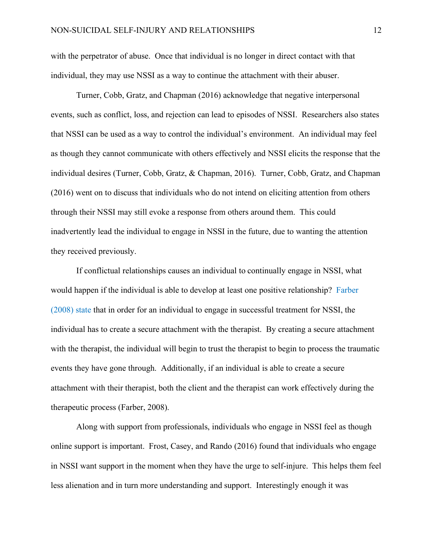with the perpetrator of abuse. Once that individual is no longer in direct contact with that individual, they may use NSSI as a way to continue the attachment with their abuser.

Turner, Cobb, Gratz, and Chapman (2016) acknowledge that negative interpersonal events, such as conflict, loss, and rejection can lead to episodes of NSSI. Researchers also states that NSSI can be used as a way to control the individual's environment. An individual may feel as though they cannot communicate with others effectively and NSSI elicits the response that the individual desires (Turner, Cobb, Gratz, & Chapman, 2016). Turner, Cobb, Gratz, and Chapman (2016) went on to discuss that individuals who do not intend on eliciting attention from others through their NSSI may still evoke a response from others around them. This could inadvertently lead the individual to engage in NSSI in the future, due to wanting the attention they received previously.

If conflictual relationships causes an individual to continually engage in NSSI, what would happen if the individual is able to develop at least one positive relationship? Farber (2008) state that in order for an individual to engage in successful treatment for NSSI, the individual has to create a secure attachment with the therapist. By creating a secure attachment with the therapist, the individual will begin to trust the therapist to begin to process the traumatic events they have gone through. Additionally, if an individual is able to create a secure attachment with their therapist, both the client and the therapist can work effectively during the therapeutic process (Farber, 2008).

Along with support from professionals, individuals who engage in NSSI feel as though online support is important. Frost, Casey, and Rando (2016) found that individuals who engage in NSSI want support in the moment when they have the urge to self-injure. This helps them feel less alienation and in turn more understanding and support. Interestingly enough it was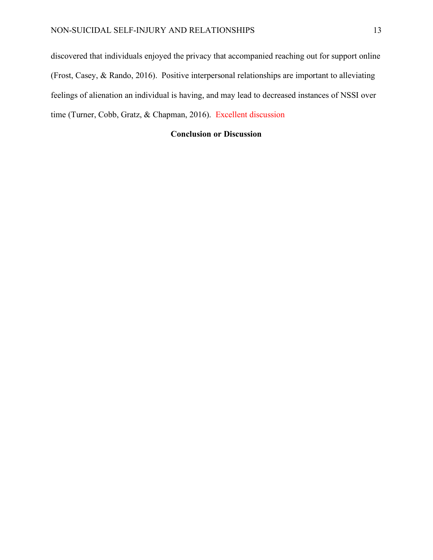discovered that individuals enjoyed the privacy that accompanied reaching out for support online (Frost, Casey, & Rando, 2016). Positive interpersonal relationships are important to alleviating feelings of alienation an individual is having, and may lead to decreased instances of NSSI over time (Turner, Cobb, Gratz, & Chapman, 2016). Excellent discussion

### **Conclusion or Discussion**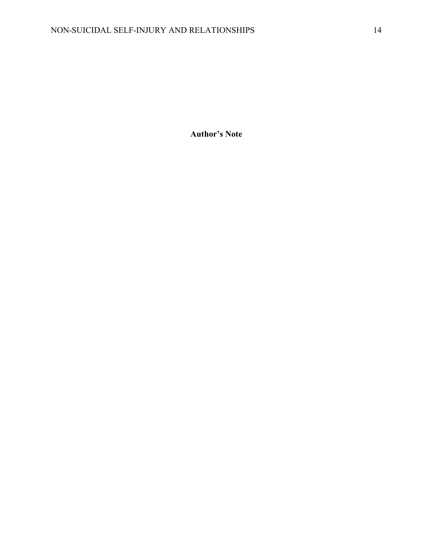**Author's Note**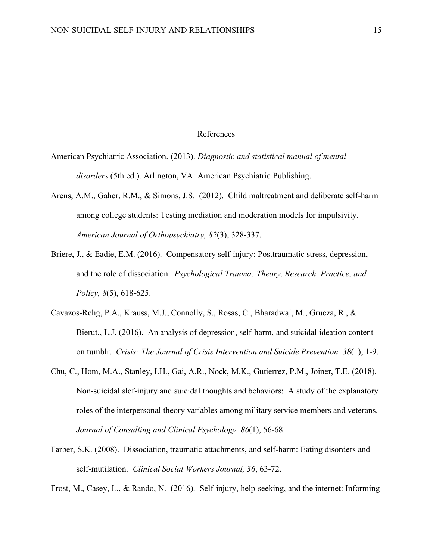#### References

- American Psychiatric Association. (2013). *Diagnostic and statistical manual of mental disorders* (5th ed.). Arlington, VA: American Psychiatric Publishing.
- Arens, A.M., Gaher, R.M., & Simons, J.S. (2012). Child maltreatment and deliberate self-harm among college students: Testing mediation and moderation models for impulsivity. *American Journal of Orthopsychiatry, 82*(3), 328-337.
- Briere, J., & Eadie, E.M. (2016). Compensatory self-injury: Posttraumatic stress, depression, and the role of dissociation. *Psychological Trauma: Theory, Research, Practice, and Policy, 8*(5), 618-625.
- Cavazos-Rehg, P.A., Krauss, M.J., Connolly, S., Rosas, C., Bharadwaj, M., Grucza, R., & Bierut., L.J. (2016). An analysis of depression, self-harm, and suicidal ideation content on tumblr. *Crisis: The Journal of Crisis Intervention and Suicide Prevention, 38*(1), 1-9.
- Chu, C., Hom, M.A., Stanley, I.H., Gai, A.R., Nock, M.K., Gutierrez, P.M., Joiner, T.E. (2018). Non-suicidal slef-injury and suicidal thoughts and behaviors: A study of the explanatory roles of the interpersonal theory variables among military service members and veterans. *Journal of Consulting and Clinical Psychology, 86*(1), 56-68.
- Farber, S.K. (2008). Dissociation, traumatic attachments, and self-harm: Eating disorders and self-mutilation. *Clinical Social Workers Journal, 36*, 63-72.

Frost, M., Casey, L., & Rando, N. (2016). Self-injury, help-seeking, and the internet: Informing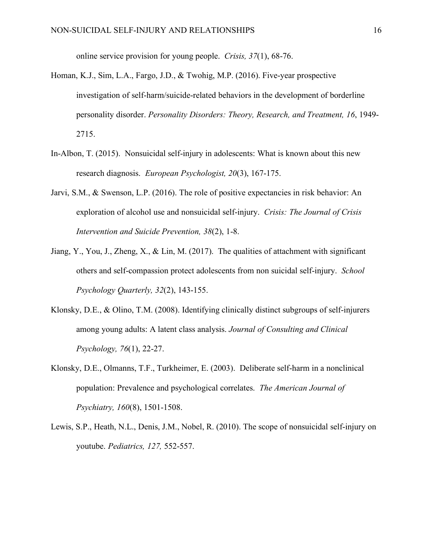online service provision for young people. *Crisis, 37*(1), 68-76.

- Homan, K.J., Sim, L.A., Fargo, J.D., & Twohig, M.P. (2016). Five-year prospective investigation of self-harm/suicide-related behaviors in the development of borderline personality disorder. *Personality Disorders: Theory, Research, and Treatment, 16*, 1949- 2715.
- In-Albon, T. (2015). Nonsuicidal self-injury in adolescents: What is known about this new research diagnosis. *European Psychologist, 20*(3), 167-175.
- Jarvi, S.M., & Swenson, L.P. (2016). The role of positive expectancies in risk behavior: An exploration of alcohol use and nonsuicidal self-injury. *Crisis: The Journal of Crisis Intervention and Suicide Prevention, 38*(2), 1-8.
- Jiang, Y., You, J., Zheng, X., & Lin, M. (2017). The qualities of attachment with significant others and self-compassion protect adolescents from non suicidal self-injury. *School Psychology Quarterly, 32*(2), 143-155.
- Klonsky, D.E., & Olino, T.M. (2008). Identifying clinically distinct subgroups of self-injurers among young adults: A latent class analysis. *Journal of Consulting and Clinical Psychology, 76*(1), 22-27.
- Klonsky, D.E., Olmanns, T.F., Turkheimer, E. (2003). Deliberate self-harm in a nonclinical population: Prevalence and psychological correlates. *The American Journal of Psychiatry, 160*(8), 1501-1508.
- Lewis, S.P., Heath, N.L., Denis, J.M., Nobel, R. (2010). The scope of nonsuicidal self-injury on youtube. *Pediatrics, 127,* 552-557.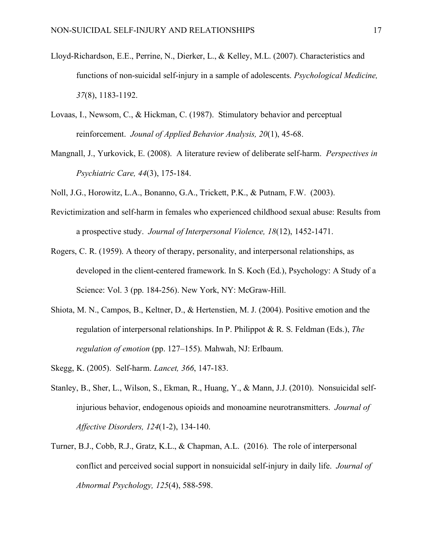- Lloyd-Richardson, E.E., Perrine, N., Dierker, L., & Kelley, M.L. (2007). Characteristics and functions of non-suicidal self-injury in a sample of adolescents. *Psychological Medicine, 37*(8), 1183-1192.
- Lovaas, I., Newsom, C., & Hickman, C. (1987). Stimulatory behavior and perceptual reinforcement. *Jounal of Applied Behavior Analysis, 20*(1), 45-68.
- Mangnall, J., Yurkovick, E. (2008). A literature review of deliberate self-harm. *Perspectives in Psychiatric Care, 44*(3), 175-184.
- Noll, J.G., Horowitz, L.A., Bonanno, G.A., Trickett, P.K., & Putnam, F.W. (2003).
- Revictimization and self-harm in females who experienced childhood sexual abuse: Results from a prospective study. *Journal of Interpersonal Violence, 18*(12), 1452-1471.
- Rogers, C. R. (1959). A theory of therapy, personality, and interpersonal relationships, as developed in the client-centered framework. In S. Koch (Ed.), Psychology: A Study of a Science: Vol. 3 (pp. 184-256). New York, NY: McGraw-Hill.
- Shiota, M. N., Campos, B., Keltner, D., & Hertenstien, M. J. (2004). Positive emotion and the regulation of interpersonal relationships. In P. Philippot & R. S. Feldman (Eds.), *The regulation of emotion* (pp. 127–155). Mahwah, NJ: Erlbaum.
- Skegg, K. (2005). Self-harm. *Lancet, 366*, 147-183.
- Stanley, B., Sher, L., Wilson, S., Ekman, R., Huang, Y., & Mann, J.J. (2010). Nonsuicidal selfinjurious behavior, endogenous opioids and monoamine neurotransmitters. *Journal of Affective Disorders, 124*(1-2), 134-140.
- Turner, B.J., Cobb, R.J., Gratz, K.L., & Chapman, A.L. (2016). The role of interpersonal conflict and perceived social support in nonsuicidal self-injury in daily life. *Journal of Abnormal Psychology, 125*(4), 588-598.